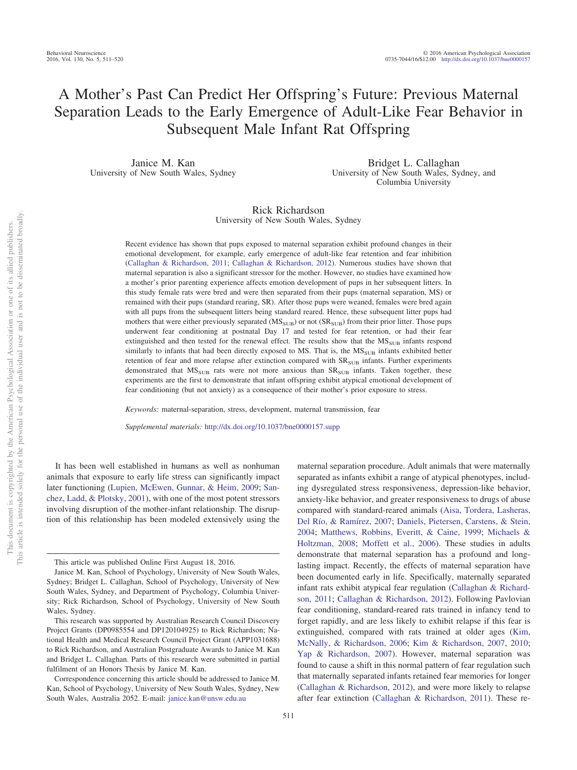# A Mother's Past Can Predict Her Offspring's Future: Previous Maternal Separation Leads to the Early Emergence of Adult-Like Fear Behavior in Subsequent Male Infant Rat Offspring

Janice M. Kan University of New South Wales, Sydney

Bridget L. Callaghan University of New South Wales, Sydney, and Columbia University

Rick Richardson University of New South Wales, Sydney

Recent evidence has shown that pups exposed to maternal separation exhibit profound changes in their emotional development, for example, early emergence of adult-like fear retention and fear inhibition [\(Callaghan & Richardson, 2011;](#page-7-0) [Callaghan & Richardson, 2012\)](#page-7-1). Numerous studies have shown that maternal separation is also a significant stressor for the mother. However, no studies have examined how a mother's prior parenting experience affects emotion development of pups in her subsequent litters. In this study female rats were bred and were then separated from their pups (maternal separation, MS) or remained with their pups (standard rearing, SR). After those pups were weaned, females were bred again with all pups from the subsequent litters being standard reared. Hence, these subsequent litter pups had mothers that were either previously separated ( $MS<sub>SUB</sub>$ ) or not  $(SR<sub>SUB</sub>)$  from their prior litter. Those pups underwent fear conditioning at postnatal Day 17 and tested for fear retention, or had their fear extinguished and then tested for the renewal effect. The results show that the  $MS<sub>SUB</sub>$  infants respond similarly to infants that had been directly exposed to MS. That is, the  $MS<sub>SUB</sub>$  infants exhibited better retention of fear and more relapse after extinction compared with  $SR<sub>SUB</sub>$  infants. Further experiments demonstrated that  $MS<sub>SUB</sub>$  rats were not more anxious than  $SR<sub>SUB</sub>$  infants. Taken together, these experiments are the first to demonstrate that infant offspring exhibit atypical emotional development of fear conditioning (but not anxiety) as a consequence of their mother's prior exposure to stress.

*Keywords:* maternal-separation, stress, development, maternal transmission, fear

*Supplemental materials:* http://dx.doi.org[/10.1037/bne0000157.supp](http://dx.doi.org/10.1037/bne0000157.supp)

It has been well established in humans as well as nonhuman animals that exposure to early life stress can significantly impact later functioning [\(Lupien, McEwen, Gunnar, & Heim, 2009;](#page-8-0) [San](#page-8-1)[chez, Ladd, & Plotsky, 2001\)](#page-8-1), with one of the most potent stressors involving disruption of the mother-infant relationship. The disruption of this relationship has been modeled extensively using the

511

maternal separation procedure. Adult animals that were maternally separated as infants exhibit a range of atypical phenotypes, including dysregulated stress responsiveness, depression-like behavior, anxiety-like behavior, and greater responsiveness to drugs of abuse compared with standard-reared animals [\(Aisa, Tordera, Lasheras,](#page-7-2) [Del Río, & Ramírez, 2007;](#page-7-2) [Daniels, Pietersen, Carstens, & Stein,](#page-7-3) [2004;](#page-7-3) [Matthews, Robbins, Everitt, & Caine, 1999;](#page-8-2) [Michaels &](#page-8-3) [Holtzman, 2008;](#page-8-3) [Moffett et al., 2006\)](#page-8-4). These studies in adults demonstrate that maternal separation has a profound and longlasting impact. Recently, the effects of maternal separation have been documented early in life. Specifically, maternally separated infant rats exhibit atypical fear regulation [\(Callaghan & Richard](#page-7-0)[son, 2011;](#page-7-0) [Callaghan & Richardson, 2012\)](#page-7-1). Following Pavlovian fear conditioning, standard-reared rats trained in infancy tend to forget rapidly, and are less likely to exhibit relapse if this fear is extinguished, compared with rats trained at older ages [\(Kim,](#page-8-5) [McNally, & Richardson, 2006;](#page-8-5) [Kim & Richardson, 2007,](#page-8-6) [2010;](#page-8-7) [Yap & Richardson, 2007\)](#page-9-0). However, maternal separation was found to cause a shift in this normal pattern of fear regulation such that maternally separated infants retained fear memories for longer [\(Callaghan & Richardson, 2012\)](#page-7-1), and were more likely to relapse after fear extinction [\(Callaghan & Richardson, 2011\)](#page-7-0). These re-

This article was published Online First August 18, 2016.

Janice M. Kan, School of Psychology, University of New South Wales, Sydney; Bridget L. Callaghan, School of Psychology, University of New South Wales, Sydney, and Department of Psychology, Columbia University; Rick Richardson, School of Psychology, University of New South Wales, Sydney.

This research was supported by Australian Research Council Discovery Project Grants (DP0985554 and DP120104925) to Rick Richardson; National Health and Medical Research Council Project Grant (APP1031688) to Rick Richardson, and Australian Postgraduate Awards to Janice M. Kan and Bridget L. Callaghan. Parts of this research were submitted in partial fulfilment of an Honors Thesis by Janice M. Kan.

Correspondence concerning this article should be addressed to Janice M. Kan, School of Psychology, University of New South Wales, Sydney, New South Wales, Australia 2052. E-mail: [janice.kan@unsw.edu.au](mailto:janice.kan@unsw.edu.au)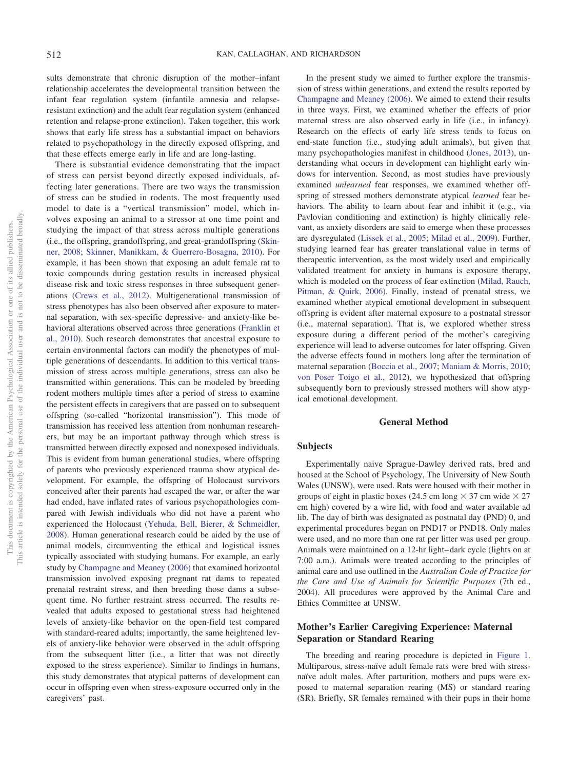sults demonstrate that chronic disruption of the mother–infant relationship accelerates the developmental transition between the infant fear regulation system (infantile amnesia and relapseresistant extinction) and the adult fear regulation system (enhanced retention and relapse-prone extinction). Taken together, this work shows that early life stress has a substantial impact on behaviors related to psychopathology in the directly exposed offspring, and that these effects emerge early in life and are long-lasting.

There is substantial evidence demonstrating that the impact of stress can persist beyond directly exposed individuals, affecting later generations. There are two ways the transmission of stress can be studied in rodents. The most frequently used model to date is a "vertical transmission" model, which involves exposing an animal to a stressor at one time point and studying the impact of that stress across multiple generations (i.e., the offspring, grandoffspring, and great-grandoffspring [\(Skin](#page-8-8)[ner, 2008;](#page-8-8) [Skinner, Manikkam, & Guerrero-Bosagna, 2010\)](#page-8-9). For example, it has been shown that exposing an adult female rat to toxic compounds during gestation results in increased physical disease risk and toxic stress responses in three subsequent generations [\(Crews et al., 2012\)](#page-7-4). Multigenerational transmission of stress phenotypes has also been observed after exposure to maternal separation, with sex-specific depressive- and anxiety-like behavioral alterations observed across three generations [\(Franklin et](#page-7-5) [al., 2010\)](#page-7-5). Such research demonstrates that ancestral exposure to certain environmental factors can modify the phenotypes of multiple generations of descendants. In addition to this vertical transmission of stress across multiple generations, stress can also be transmitted within generations. This can be modeled by breeding rodent mothers multiple times after a period of stress to examine the persistent effects in caregivers that are passed on to subsequent offspring (so-called "horizontal transmission"). This mode of transmission has received less attention from nonhuman researchers, but may be an important pathway through which stress is transmitted between directly exposed and nonexposed individuals. This is evident from human generational studies, where offspring of parents who previously experienced trauma show atypical development. For example, the offspring of Holocaust survivors conceived after their parents had escaped the war, or after the war had ended, have inflated rates of various psychopathologies compared with Jewish individuals who did not have a parent who experienced the Holocaust [\(Yehuda, Bell, Bierer, & Schmeidler,](#page-9-1) [2008\)](#page-9-1). Human generational research could be aided by the use of animal models, circumventing the ethical and logistical issues typically associated with studying humans. For example, an early study by [Champagne and Meaney \(2006\)](#page-7-6) that examined horizontal transmission involved exposing pregnant rat dams to repeated prenatal restraint stress, and then breeding those dams a subsequent time. No further restraint stress occurred. The results revealed that adults exposed to gestational stress had heightened levels of anxiety-like behavior on the open-field test compared with standard-reared adults; importantly, the same heightened levels of anxiety-like behavior were observed in the adult offspring from the subsequent litter (i.e., a litter that was not directly exposed to the stress experience). Similar to findings in humans, this study demonstrates that atypical patterns of development can occur in offspring even when stress-exposure occurred only in the caregivers' past.

In the present study we aimed to further explore the transmission of stress within generations, and extend the results reported by [Champagne and Meaney \(2006\).](#page-7-6) We aimed to extend their results in three ways. First, we examined whether the effects of prior maternal stress are also observed early in life (i.e., in infancy). Research on the effects of early life stress tends to focus on end-state function (i.e., studying adult animals), but given that many psychopathologies manifest in childhood [\(Jones, 2013\)](#page-7-7), understanding what occurs in development can highlight early windows for intervention. Second, as most studies have previously examined *unlearned* fear responses, we examined whether offspring of stressed mothers demonstrate atypical *learned* fear behaviors. The ability to learn about fear and inhibit it (e.g., via Pavlovian conditioning and extinction) is highly clinically relevant, as anxiety disorders are said to emerge when these processes are dysregulated [\(Lissek et al., 2005;](#page-8-10) [Milad et al., 2009\)](#page-8-11). Further, studying learned fear has greater translational value in terms of therapeutic intervention, as the most widely used and empirically validated treatment for anxiety in humans is exposure therapy, which is modeled on the process of fear extinction [\(Milad, Rauch,](#page-8-12) [Pitman, & Quirk, 2006\)](#page-8-12). Finally, instead of prenatal stress, we examined whether atypical emotional development in subsequent offspring is evident after maternal exposure to a postnatal stressor (i.e., maternal separation). That is, we explored whether stress exposure during a different period of the mother's caregiving experience will lead to adverse outcomes for later offspring. Given the adverse effects found in mothers long after the termination of maternal separation [\(Boccia et al., 2007;](#page-7-8) [Maniam & Morris, 2010;](#page-8-13) [von Poser Toigo et al., 2012\)](#page-9-2), we hypothesized that offspring subsequently born to previously stressed mothers will show atypical emotional development.

#### **General Method**

#### **Subjects**

Experimentally naive Sprague-Dawley derived rats, bred and housed at the School of Psychology, The University of New South Wales (UNSW), were used. Rats were housed with their mother in groups of eight in plastic boxes (24.5 cm long  $\times$  37 cm wide  $\times$  27 cm high) covered by a wire lid, with food and water available ad lib. The day of birth was designated as postnatal day (PND) 0, and experimental procedures began on PND17 or PND18. Only males were used, and no more than one rat per litter was used per group. Animals were maintained on a 12-hr light– dark cycle (lights on at 7:00 a.m.). Animals were treated according to the principles of animal care and use outlined in the *Australian Code of Practice for the Care and Use of Animals for Scientific Purposes* (7th ed., 2004). All procedures were approved by the Animal Care and Ethics Committee at UNSW.

## **Mother's Earlier Caregiving Experience: Maternal Separation or Standard Rearing**

The breeding and rearing procedure is depicted in [Figure 1.](#page-2-0) Multiparous, stress-naïve adult female rats were bred with stressnaïve adult males. After parturition, mothers and pups were exposed to maternal separation rearing (MS) or standard rearing (SR). Briefly, SR females remained with their pups in their home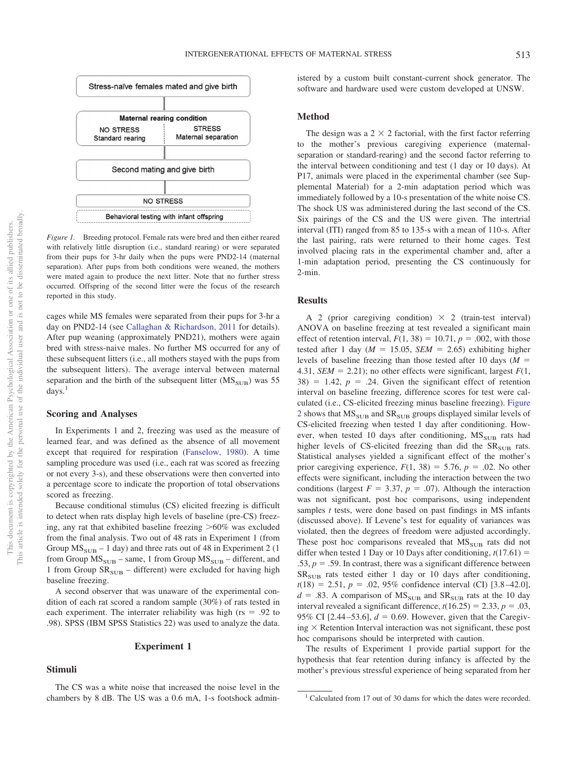

<span id="page-2-0"></span>*Figure 1.* Breeding protocol. Female rats were bred and then either reared with relatively little disruption (i.e., standard rearing) or were separated from their pups for 3-hr daily when the pups were PND2-14 (maternal separation). After pups from both conditions were weaned, the mothers were mated again to produce the next litter. Note that no further stress occurred. Offspring of the second litter were the focus of the research reported in this study.

cages while MS females were separated from their pups for 3-hr a day on PND2-14 (see [Callaghan & Richardson, 2011](#page-7-0) for details). After pup weaning (approximately PND21), mothers were again bred with stress-naive males. No further MS occurred for any of these subsequent litters (i.e., all mothers stayed with the pups from the subsequent litters). The average interval between maternal separation and the birth of the subsequent litter  $(MS<sub>SUB</sub>)$  was 55 days.<sup>1</sup>

#### **Scoring and Analyses**

In Experiments 1 and 2, freezing was used as the measure of learned fear, and was defined as the absence of all movement except that required for respiration [\(Fanselow, 1980\)](#page-7-9). A time sampling procedure was used (i.e., each rat was scored as freezing or not every 3-s), and these observations were then converted into a percentage score to indicate the proportion of total observations scored as freezing.

Because conditional stimulus (CS) elicited freezing is difficult to detect when rats display high levels of baseline (pre-CS) freezing, any rat that exhibited baseline freezing  $>60\%$  was excluded from the final analysis. Two out of 48 rats in Experiment 1 (from Group  $MS<sub>SUB</sub> - 1$  day) and three rats out of 48 in Experiment 2 (1) from Group  $MS_{SUB}$  – same, 1 from Group  $MS_{SUB}$  – different, and 1 from Group  $SR<sub>SUB</sub>$  – different) were excluded for having high baseline freezing.

A second observer that was unaware of the experimental condition of each rat scored a random sample (30%) of rats tested in each experiment. The interrater reliability was high ( $rs = .92$  to .98). SPSS (IBM SPSS Statistics 22) was used to analyze the data.

## **Experiment 1**

#### **Stimuli**

The CS was a white noise that increased the noise level in the chambers by 8 dB. The US was a 0.6 mA, 1-s footshock administered by a custom built constant-current shock generator. The software and hardware used were custom developed at UNSW.

## **Method**

The design was a  $2 \times 2$  factorial, with the first factor referring to the mother's previous caregiving experience (maternalseparation or standard-rearing) and the second factor referring to the interval between conditioning and test (1 day or 10 days). At P17, animals were placed in the experimental chamber (see Supplemental Material) for a 2-min adaptation period which was immediately followed by a 10-s presentation of the white noise CS. The shock US was administered during the last second of the CS. Six pairings of the CS and the US were given. The intertrial interval (ITI) ranged from 85 to 135-s with a mean of 110-s. After the last pairing, rats were returned to their home cages. Test involved placing rats in the experimental chamber and, after a 1-min adaptation period, presenting the CS continuously for 2-min.

## **Results**

A 2 (prior caregiving condition)  $\times$  2 (train-test interval) ANOVA on baseline freezing at test revealed a significant main effect of retention interval,  $F(1, 38) = 10.71$ ,  $p = .002$ , with those tested after 1 day ( $M = 15.05$ , *SEM* = 2.65) exhibiting higher levels of baseline freezing than those tested after 10 days (*M* 4.31, *SEM* = 2.21); no other effects were significant, largest  $F(1,$  $38) = 1.42$ ,  $p = .24$ . Given the significant effect of retention interval on baseline freezing, difference scores for test were calculated (i.e., CS-elicited freezing minus baseline freezing). [Figure](#page-3-0) [2](#page-3-0) shows that  $MS<sub>SUB</sub>$  and  $SR<sub>SUB</sub>$  groups displayed similar levels of CS-elicited freezing when tested 1 day after conditioning. However, when tested 10 days after conditioning,  $MS<sub>SUB</sub>$  rats had higher levels of CS-elicited freezing than did the  $SR<sub>SUB</sub>$  rats. Statistical analyses yielded a significant effect of the mother's prior caregiving experience,  $F(1, 38) = 5.76$ ,  $p = .02$ . No other effects were significant, including the interaction between the two conditions (largest  $F = 3.37$ ,  $p = .07$ ). Although the interaction was not significant, post hoc comparisons, using independent samples *t* tests, were done based on past findings in MS infants (discussed above). If Levene's test for equality of variances was violated, then the degrees of freedom were adjusted accordingly. These post hoc comparisons revealed that  $MS<sub>SUB</sub>$  rats did not differ when tested 1 Day or 10 Days after conditioning,  $t(17.61)$  = .53,  $p = .59$ . In contrast, there was a significant difference between  $SR<sub>SUB</sub>$  rats tested either 1 day or 10 days after conditioning,  $t(18) = 2.51, p = .02, 95\%$  confidence interval (CI) [3.8-42.0],  $d = .83$ . A comparison of  $MS<sub>SUB</sub>$  and  $SR<sub>SUB</sub>$  rats at the 10 day interval revealed a significant difference,  $t(16.25) = 2.33$ ,  $p = .03$ , 95% CI [2.44–53.6],  $d = 0.69$ . However, given that the Caregiving  $\times$  Retention Interval interaction was not significant, these post hoc comparisons should be interpreted with caution.

The results of Experiment 1 provide partial support for the hypothesis that fear retention during infancy is affected by the mother's previous stressful experience of being separated from her

<sup>&</sup>lt;sup>1</sup> Calculated from 17 out of 30 dams for which the dates were recorded.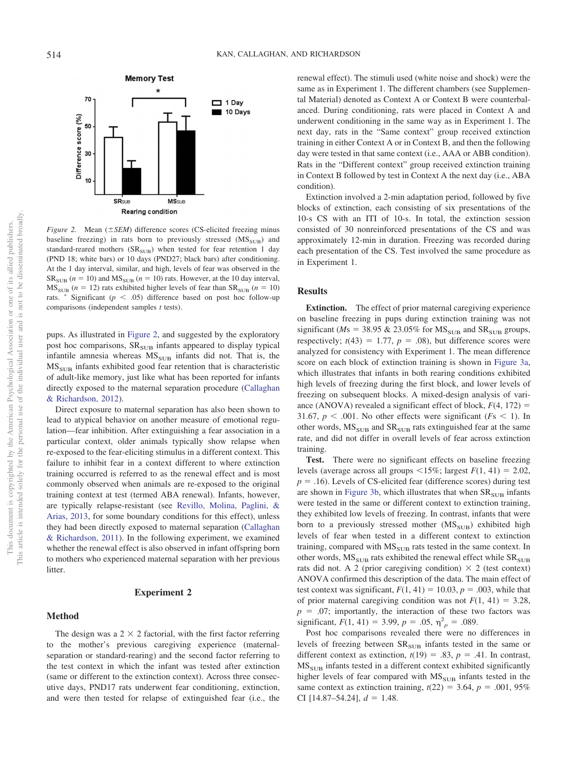

<span id="page-3-0"></span>*Figure 2.* Mean  $(\pm SEM)$  difference scores (CS-elicited freezing minus baseline freezing) in rats born to previously stressed  $(MS<sub>SUB</sub>)$  and standard-reared mothers  $(SR<sub>SUB</sub>)$  when tested for fear retention 1 day (PND 18; white bars) or 10 days (PND27; black bars) after conditioning. At the 1 day interval, similar, and high, levels of fear was observed in the  $SR<sub>SUB</sub>$  ( $n = 10$ ) and  $MS<sub>SUB</sub>$  ( $n = 10$ ) rats. However, at the 10 day interval,  $MS<sub>SUB</sub>$  (*n* = 12) rats exhibited higher levels of fear than  $SR<sub>SUB</sub>$  (*n* = 10) rats. Significant  $(p < .05)$  difference based on post hoc follow-up comparisons (independent samples *t* tests).

pups. As illustrated in [Figure 2,](#page-3-0) and suggested by the exploratory post hoc comparisons,  $SR_{SUB}$  infants appeared to display typical infantile amnesia whereas  $MS<sub>SUB</sub>$  infants did not. That is, the  $MS<sub>SUB</sub>$  infants exhibited good fear retention that is characteristic of adult-like memory, just like what has been reported for infants directly exposed to the maternal separation procedure [\(Callaghan](#page-7-1) [& Richardson, 2012\)](#page-7-1).

Direct exposure to maternal separation has also been shown to lead to atypical behavior on another measure of emotional regulation—fear inhibition. After extinguishing a fear association in a particular context, older animals typically show relapse when re-exposed to the fear-eliciting stimulus in a different context. This failure to inhibit fear in a context different to where extinction training occurred is referred to as the renewal effect and is most commonly observed when animals are re-exposed to the original training context at test (termed ABA renewal). Infants, however, are typically relapse-resistant (see [Revillo, Molina, Paglini, &](#page-8-14) [Arias, 2013,](#page-8-14) for some boundary conditions for this effect), unless they had been directly exposed to maternal separation [\(Callaghan](#page-7-0) [& Richardson, 2011\)](#page-7-0). In the following experiment, we examined whether the renewal effect is also observed in infant offspring born to mothers who experienced maternal separation with her previous **litter** 

## **Experiment 2**

## **Method**

The design was a  $2 \times 2$  factorial, with the first factor referring to the mother's previous caregiving experience (maternalseparation or standard-rearing) and the second factor referring to the test context in which the infant was tested after extinction (same or different to the extinction context). Across three consecutive days, PND17 rats underwent fear conditioning, extinction, and were then tested for relapse of extinguished fear (i.e., the renewal effect). The stimuli used (white noise and shock) were the same as in Experiment 1. The different chambers (see Supplemental Material) denoted as Context A or Context B were counterbalanced. During conditioning, rats were placed in Context A and underwent conditioning in the same way as in Experiment 1. The next day, rats in the "Same context" group received extinction training in either Context A or in Context B, and then the following day were tested in that same context (i.e., AAA or ABB condition). Rats in the "Different context" group received extinction training in Context B followed by test in Context A the next day (i.e., ABA condition).

Extinction involved a 2-min adaptation period, followed by five blocks of extinction, each consisting of six presentations of the 10-s CS with an ITI of 10-s. In total, the extinction session consisted of 30 nonreinforced presentations of the CS and was approximately 12-min in duration. Freezing was recorded during each presentation of the CS. Test involved the same procedure as in Experiment 1.

## **Results**

**Extinction.** The effect of prior maternal caregiving experience on baseline freezing in pups during extinction training was not significant ( $Ms = 38.95 \& 23.05\%$  for  $MS<sub>SUB</sub>$  and  $SR<sub>SUB</sub>$  groups, respectively;  $t(43) = 1.77$ ,  $p = .08$ ), but difference scores were analyzed for consistency with Experiment 1. The mean difference score on each block of extinction training is shown in [Figure 3a,](#page-4-0) which illustrates that infants in both rearing conditions exhibited high levels of freezing during the first block, and lower levels of freezing on subsequent blocks. A mixed-design analysis of variance (ANOVA) revealed a significant effect of block,  $F(4, 172) =$ 31.67,  $p < .001$ . No other effects were significant ( $Fs < 1$ ). In other words,  $MS<sub>SUB</sub>$  and  $SR<sub>SUB</sub>$  rats extinguished fear at the same rate, and did not differ in overall levels of fear across extinction training.

**Test.** There were no significant effects on baseline freezing levels (average across all groups  $\leq 15\%$ ; largest  $F(1, 41) = 2.02$ ,  $p = .16$ ). Levels of CS-elicited fear (difference scores) during test are shown in [Figure 3b,](#page-4-0) which illustrates that when  $SR_{SUB}$  infants were tested in the same or different context to extinction training, they exhibited low levels of freezing. In contrast, infants that were born to a previously stressed mother  $(MS<sub>SUB</sub>)$  exhibited high levels of fear when tested in a different context to extinction training, compared with  $MS<sub>SUB</sub>$  rats tested in the same context. In other words,  $MS_{SUB}$  rats exhibited the renewal effect while  $SR_{SUB}$ rats did not. A 2 (prior caregiving condition)  $\times$  2 (test context) ANOVA confirmed this description of the data. The main effect of test context was significant,  $F(1, 41) = 10.03$ ,  $p = .003$ , while that of prior maternal caregiving condition was not  $F(1, 41) = 3.28$ ,  $p = .07$ ; importantly, the interaction of these two factors was significant,  $F(1, 41) = 3.99$ ,  $p = .05$ ,  $\eta_p^2 = .089$ .

Post hoc comparisons revealed there were no differences in levels of freezing between  $SR<sub>SUB</sub>$  infants tested in the same or different context as extinction,  $t(19) = .83$ ,  $p = .41$ . In contrast,  $MS<sub>SUB</sub>$  infants tested in a different context exhibited significantly higher levels of fear compared with  $MS<sub>SUB</sub>$  infants tested in the same context as extinction training,  $t(22) = 3.64$ ,  $p = .001$ , 95% CI  $[14.87-54.24]$ ,  $d = 1.48$ .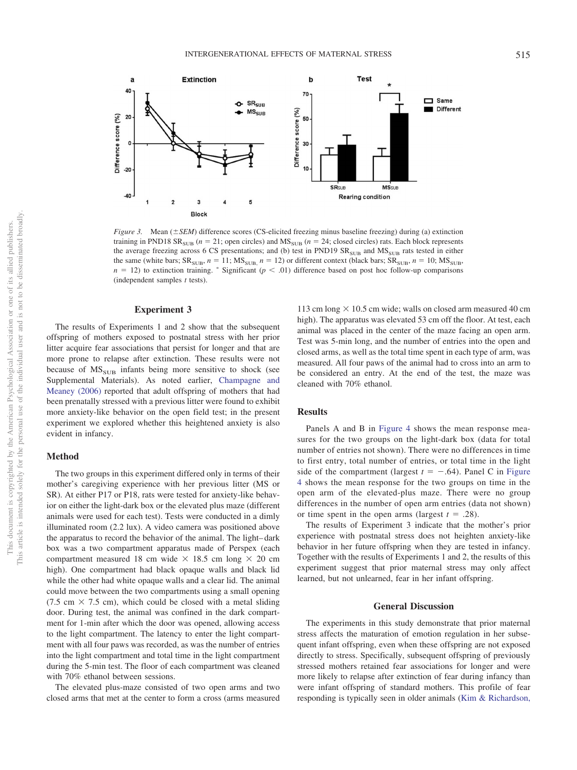

<span id="page-4-0"></span>*Figure 3.* Mean  $(\pm SEM)$  difference scores (CS-elicited freezing minus baseline freezing) during (a) extinction training in PND18 SR<sub>SUB</sub> ( $n = 21$ ; open circles) and MS<sub>SUB</sub> ( $n = 24$ ; closed circles) rats. Each block represents the average freezing across 6 CS presentations; and (b) test in PND19  $SR<sub>SUB</sub>$  and  $MS<sub>SUB</sub>$  rats tested in either the same (white bars;  $SR_{SUB}$ ,  $n = 11$ ;  $MS_{SUB}$ ,  $n = 12$ ) or different context (black bars;  $SR_{SUB}$ ,  $n = 10$ ;  $MS_{SUB}$ ,  $n = 12$ ) to extinction training. \* Significant ( $p < .01$ ) difference based on post hoc follow-up comparisons (independent samples *t* tests).

#### **Experiment 3**

The results of Experiments 1 and 2 show that the subsequent offspring of mothers exposed to postnatal stress with her prior litter acquire fear associations that persist for longer and that are more prone to relapse after extinction. These results were not because of  $MS<sub>SUB</sub>$  infants being more sensitive to shock (see Supplemental Materials). As noted earlier, [Champagne and](#page-7-6) [Meaney \(2006\)](#page-7-6) reported that adult offspring of mothers that had been prenatally stressed with a previous litter were found to exhibit more anxiety-like behavior on the open field test; in the present experiment we explored whether this heightened anxiety is also evident in infancy.

## **Method**

The two groups in this experiment differed only in terms of their mother's caregiving experience with her previous litter (MS or SR). At either P17 or P18, rats were tested for anxiety-like behavior on either the light-dark box or the elevated plus maze (different animals were used for each test). Tests were conducted in a dimly illuminated room (2.2 lux). A video camera was positioned above the apparatus to record the behavior of the animal. The light– dark box was a two compartment apparatus made of Perspex (each compartment measured 18 cm wide  $\times$  18.5 cm long  $\times$  20 cm high). One compartment had black opaque walls and black lid while the other had white opaque walls and a clear lid. The animal could move between the two compartments using a small opening  $(7.5 \text{ cm} \times 7.5 \text{ cm})$ , which could be closed with a metal sliding door. During test, the animal was confined in the dark compartment for 1-min after which the door was opened, allowing access to the light compartment. The latency to enter the light compartment with all four paws was recorded, as was the number of entries into the light compartment and total time in the light compartment during the 5-min test. The floor of each compartment was cleaned with 70% ethanol between sessions.

The elevated plus-maze consisted of two open arms and two closed arms that met at the center to form a cross (arms measured

113 cm long  $\times$  10.5 cm wide; walls on closed arm measured 40 cm high). The apparatus was elevated 53 cm off the floor. At test, each animal was placed in the center of the maze facing an open arm. Test was 5-min long, and the number of entries into the open and closed arms, as well as the total time spent in each type of arm, was measured. All four paws of the animal had to cross into an arm to be considered an entry. At the end of the test, the maze was cleaned with 70% ethanol.

## **Results**

Panels A and B in [Figure 4](#page-5-0) shows the mean response measures for the two groups on the light-dark box (data for total number of entries not shown). There were no differences in time to first entry, total number of entries, or total time in the light side of the compartment (largest  $t = -.64$ ). Panel C in [Figure](#page-5-0) [4](#page-5-0) shows the mean response for the two groups on time in the open arm of the elevated-plus maze. There were no group differences in the number of open arm entries (data not shown) or time spent in the open arms (largest  $t = .28$ ).

The results of Experiment 3 indicate that the mother's prior experience with postnatal stress does not heighten anxiety-like behavior in her future offspring when they are tested in infancy. Together with the results of Experiments 1 and 2, the results of this experiment suggest that prior maternal stress may only affect learned, but not unlearned, fear in her infant offspring.

#### **General Discussion**

The experiments in this study demonstrate that prior maternal stress affects the maturation of emotion regulation in her subsequent infant offspring, even when these offspring are not exposed directly to stress. Specifically, subsequent offspring of previously stressed mothers retained fear associations for longer and were more likely to relapse after extinction of fear during infancy than were infant offspring of standard mothers. This profile of fear responding is typically seen in older animals [\(Kim & Richardson,](#page-8-7)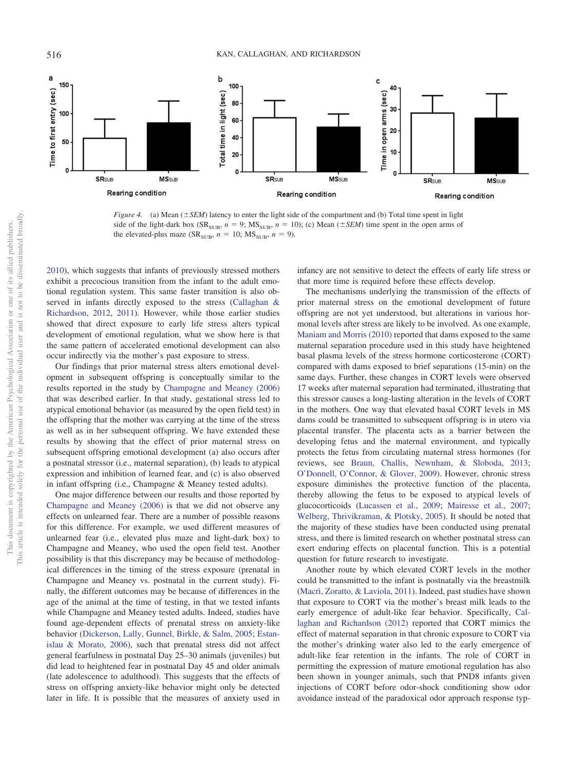

<span id="page-5-0"></span>*Figure 4.* (a) Mean ( $\pm$  *SEM*) latency to enter the light side of the compartment and (b) Total time spent in light side of the light-dark box ( $SR<sub>SUB</sub>$ , *n* = 9;  $MS<sub>SUB</sub>$ , *n* = 10); (c) Mean ( $\pm SEM$ ) time spent in the open arms of the elevated-plus maze (SR<sub>SUB</sub>,  $n = 10$ ; MS<sub>SUB</sub>,  $n = 9$ ).

[2010\)](#page-8-7), which suggests that infants of previously stressed mothers exhibit a precocious transition from the infant to the adult emotional regulation system. This same faster transition is also observed in infants directly exposed to the stress [\(Callaghan &](#page-7-1) [Richardson, 2012,](#page-7-1) [2011\)](#page-7-0). However, while those earlier studies showed that direct exposure to early life stress alters typical development of emotional regulation, what we show here is that the same pattern of accelerated emotional development can also occur indirectly via the mother's past exposure to stress.

Our findings that prior maternal stress alters emotional development in subsequent offspring is conceptually similar to the results reported in the study by [Champagne and Meaney \(2006\)](#page-7-6) that was described earlier. In that study, gestational stress led to atypical emotional behavior (as measured by the open field test) in the offspring that the mother was carrying at the time of the stress as well as in her subsequent offspring. We have extended these results by showing that the effect of prior maternal stress on subsequent offspring emotional development (a) also occurs after a postnatal stressor (i.e., maternal separation), (b) leads to atypical expression and inhibition of learned fear, and (c) is also observed in infant offspring (i.e., Champagne & Meaney tested adults).

One major difference between our results and those reported by [Champagne and Meaney \(2006\)](#page-7-6) is that we did not observe any effects on unlearned fear. There are a number of possible reasons for this difference. For example, we used different measures of unlearned fear (i.e., elevated plus maze and light-dark box) to Champagne and Meaney, who used the open field test. Another possibility is that this discrepancy may be because of methodological differences in the timing of the stress exposure (prenatal in Champagne and Meaney vs. postnatal in the current study). Finally, the different outcomes may be because of differences in the age of the animal at the time of testing, in that we tested infants while Champagne and Meaney tested adults. Indeed, studies have found age-dependent effects of prenatal stress on anxiety-like behavior [\(Dickerson, Lally, Gunnel, Birkle, & Salm, 2005;](#page-7-10) [Estan](#page-7-11)[islau & Morato, 2006\)](#page-7-11), such that prenatal stress did not affect general fearfulness in postnatal Day 25–30 animals (juveniles) but did lead to heightened fear in postnatal Day 45 and older animals (late adolescence to adulthood). This suggests that the effects of stress on offspring anxiety-like behavior might only be detected later in life. It is possible that the measures of anxiety used in infancy are not sensitive to detect the effects of early life stress or that more time is required before these effects develop.

The mechanisms underlying the transmission of the effects of prior maternal stress on the emotional development of future offspring are not yet understood, but alterations in various hormonal levels after stress are likely to be involved. As one example, [Maniam and Morris \(2010\)](#page-8-13) reported that dams exposed to the same maternal separation procedure used in this study have heightened basal plasma levels of the stress hormone corticosterone (CORT) compared with dams exposed to brief separations (15-min) on the same days. Further, these changes in CORT levels were observed 17 weeks after maternal separation had terminated, illustrating that this stressor causes a long-lasting alteration in the levels of CORT in the mothers. One way that elevated basal CORT levels in MS dams could be transmitted to subsequent offspring is in utero via placental transfer. The placenta acts as a barrier between the developing fetus and the maternal environment, and typically protects the fetus from circulating maternal stress hormones (for reviews, see [Braun, Challis, Newnham, & Sloboda, 2013;](#page-7-12) [O'Donnell, O'Connor, & Glover, 2009\)](#page-8-15). However, chronic stress exposure diminishes the protective function of the placenta, thereby allowing the fetus to be exposed to atypical levels of glucocorticoids [\(Lucassen et al., 2009;](#page-8-16) [Mairesse et al., 2007;](#page-8-17) [Welberg, Thrivikraman, & Plotsky, 2005\)](#page-9-3). It should be noted that the majority of these studies have been conducted using prenatal stress, and there is limited research on whether postnatal stress can exert enduring effects on placental function. This is a potential question for future research to investigate.

Another route by which elevated CORT levels in the mother could be transmitted to the infant is postnatally via the breastmilk [\(Macrì, Zoratto, & Laviola, 2011\)](#page-8-18). Indeed, past studies have shown that exposure to CORT via the mother's breast milk leads to the early emergence of adult-like fear behavior. Specifically, [Cal](#page-7-1)[laghan and Richardson \(2012\)](#page-7-1) reported that CORT mimics the effect of maternal separation in that chronic exposure to CORT via the mother's drinking water also led to the early emergence of adult-like fear retention in the infants. The role of CORT in permitting the expression of mature emotional regulation has also been shown in younger animals, such that PND8 infants given injections of CORT before odor-shock conditioning show odor avoidance instead of the paradoxical odor approach response typ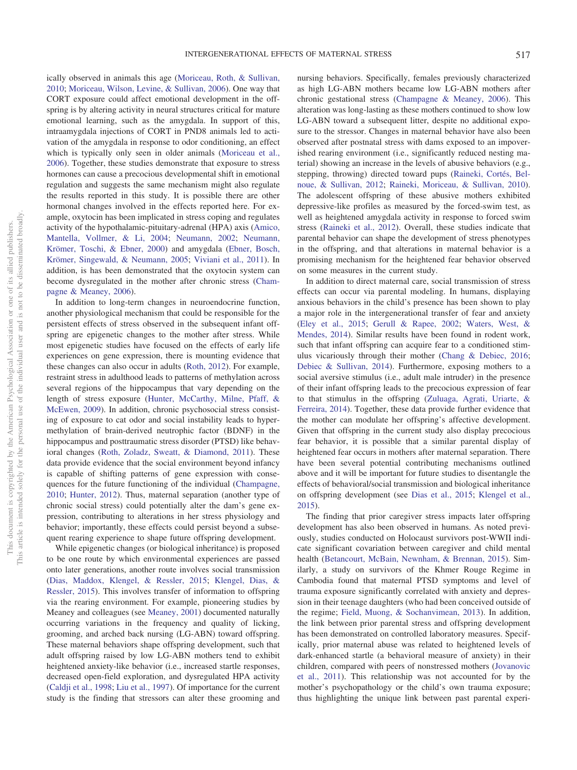ically observed in animals this age [\(Moriceau, Roth, & Sullivan,](#page-8-19) [2010;](#page-8-19) [Moriceau, Wilson, Levine, & Sullivan, 2006\)](#page-8-20). One way that CORT exposure could affect emotional development in the offspring is by altering activity in neural structures critical for mature emotional learning, such as the amygdala. In support of this, intraamygdala injections of CORT in PND8 animals led to activation of the amygdala in response to odor conditioning, an effect which is typically only seen in older animals [\(Moriceau et al.,](#page-8-20) [2006\)](#page-8-20). Together, these studies demonstrate that exposure to stress hormones can cause a precocious developmental shift in emotional regulation and suggests the same mechanism might also regulate the results reported in this study. It is possible there are other hormonal changes involved in the effects reported here. For example, oxytocin has been implicated in stress coping and regulates activity of the hypothalamic-pituitary-adrenal (HPA) axis [\(Amico,](#page-7-13) [Mantella, Vollmer, & Li, 2004;](#page-7-13) [Neumann, 2002;](#page-8-21) [Neumann,](#page-8-22) [Krömer, Toschi, & Ebner, 2000\)](#page-8-22) and amygdala [\(Ebner, Bosch,](#page-7-14) [Krömer, Singewald, & Neumann, 2005;](#page-7-14) [Viviani et al., 2011\)](#page-9-4). In addition, is has been demonstrated that the oxytocin system can become dysregulated in the mother after chronic stress [\(Cham](#page-7-6)[pagne & Meaney, 2006\)](#page-7-6).

In addition to long-term changes in neuroendocrine function, another physiological mechanism that could be responsible for the persistent effects of stress observed in the subsequent infant offspring are epigenetic changes to the mother after stress. While most epigenetic studies have focused on the effects of early life experiences on gene expression, there is mounting evidence that these changes can also occur in adults [\(Roth, 2012\)](#page-8-23). For example, restraint stress in adulthood leads to patterns of methylation across several regions of the hippocampus that vary depending on the length of stress exposure [\(Hunter, McCarthy, Milne, Pfaff, &](#page-7-15) [McEwen, 2009\)](#page-7-15). In addition, chronic psychosocial stress consisting of exposure to cat odor and social instability leads to hypermethylation of brain-derived neutrophic factor (BDNF) in the hippocampus and posttraumatic stress disorder (PTSD) like behavioral changes [\(Roth, Zoladz, Sweatt, & Diamond, 2011\)](#page-8-24). These data provide evidence that the social environment beyond infancy is capable of shifting patterns of gene expression with consequences for the future functioning of the individual [\(Champagne,](#page-7-16) [2010;](#page-7-16) [Hunter, 2012\)](#page-7-17). Thus, maternal separation (another type of chronic social stress) could potentially alter the dam's gene expression, contributing to alterations in her stress physiology and behavior; importantly, these effects could persist beyond a subsequent rearing experience to shape future offspring development.

While epigenetic changes (or biological inheritance) is proposed to be one route by which environmental experiences are passed onto later generations, another route involves social transmission [\(Dias, Maddox, Klengel, & Ressler, 2015;](#page-7-18) [Klengel, Dias, &](#page-8-25) [Ressler, 2015\)](#page-8-25). This involves transfer of information to offspring via the rearing environment. For example, pioneering studies by Meaney and colleagues (see [Meaney, 2001\)](#page-8-26) documented naturally occurring variations in the frequency and quality of licking, grooming, and arched back nursing (LG-ABN) toward offspring. These maternal behaviors shape offspring development, such that adult offspring raised by low LG-ABN mothers tend to exhibit heightened anxiety-like behavior (i.e., increased startle responses, decreased open-field exploration, and dysregulated HPA activity [\(Caldji et al., 1998;](#page-7-19) [Liu et al., 1997\)](#page-8-27). Of importance for the current study is the finding that stressors can alter these grooming and nursing behaviors. Specifically, females previously characterized as high LG-ABN mothers became low LG-ABN mothers after chronic gestational stress [\(Champagne & Meaney, 2006\)](#page-7-6). This alteration was long-lasting as these mothers continued to show low LG-ABN toward a subsequent litter, despite no additional exposure to the stressor. Changes in maternal behavior have also been observed after postnatal stress with dams exposed to an impoverished rearing environment (i.e., significantly reduced nesting material) showing an increase in the levels of abusive behaviors (e.g., stepping, throwing) directed toward pups [\(Raineki, Cortés, Bel](#page-8-28)[noue, & Sullivan, 2012;](#page-8-28) [Raineki, Moriceau, & Sullivan, 2010\)](#page-8-29). The adolescent offspring of these abusive mothers exhibited depressive-like profiles as measured by the forced-swim test, as well as heightened amygdala activity in response to forced swim stress [\(Raineki et al., 2012\)](#page-8-28). Overall, these studies indicate that parental behavior can shape the development of stress phenotypes in the offspring, and that alterations in maternal behavior is a promising mechanism for the heightened fear behavior observed on some measures in the current study.

In addition to direct maternal care, social transmission of stress effects can occur via parental modeling. In humans, displaying anxious behaviors in the child's presence has been shown to play a major role in the intergenerational transfer of fear and anxiety [\(Eley et al., 2015;](#page-7-20) [Gerull & Rapee, 2002;](#page-7-21) [Waters, West, &](#page-9-5) [Mendes, 2014\)](#page-9-5). Similar results have been found in rodent work, such that infant offspring can acquire fear to a conditioned stimulus vicariously through their mother [\(Chang & Debiec, 2016;](#page-7-22) [Debiec & Sullivan, 2014\)](#page-7-23). Furthermore, exposing mothers to a social aversive stimulus (i.e., adult male intruder) in the presence of their infant offspring leads to the precocious expression of fear to that stimulus in the offspring [\(Zuluaga, Agrati, Uriarte, &](#page-9-6) [Ferreira, 2014\)](#page-9-6). Together, these data provide further evidence that the mother can modulate her offspring's affective development. Given that offspring in the current study also display precocious fear behavior, it is possible that a similar parental display of heightened fear occurs in mothers after maternal separation. There have been several potential contributing mechanisms outlined above and it will be important for future studies to disentangle the effects of behavioral/social transmission and biological inheritance on offspring development (see [Dias et al., 2015;](#page-7-18) [Klengel et al.,](#page-8-25) [2015\)](#page-8-25).

The finding that prior caregiver stress impacts later offspring development has also been observed in humans. As noted previously, studies conducted on Holocaust survivors post-WWII indicate significant covariation between caregiver and child mental health [\(Betancourt, McBain, Newnham, & Brennan, 2015\)](#page-7-24). Similarly, a study on survivors of the Khmer Rouge Regime in Cambodia found that maternal PTSD symptoms and level of trauma exposure significantly correlated with anxiety and depression in their teenage daughters (who had been conceived outside of the regime; [Field, Muong, & Sochanvimean, 2013\)](#page-7-25). In addition, the link between prior parental stress and offspring development has been demonstrated on controlled laboratory measures. Specifically, prior maternal abuse was related to heightened levels of dark-enhanced startle (a behavioral measure of anxiety) in their children, compared with peers of nonstressed mothers [\(Jovanovic](#page-7-26) [et al., 2011\)](#page-7-26). This relationship was not accounted for by the mother's psychopathology or the child's own trauma exposure; thus highlighting the unique link between past parental experi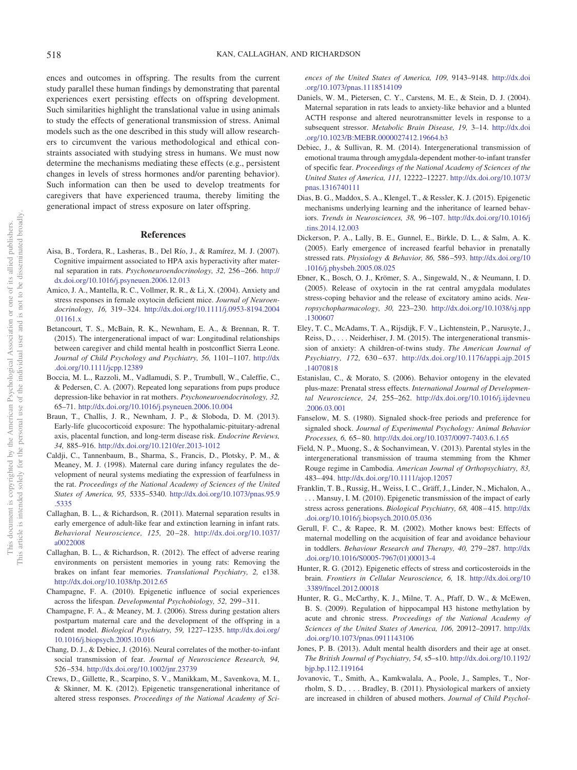ences and outcomes in offspring. The results from the current study parallel these human findings by demonstrating that parental experiences exert persisting effects on offspring development. Such similarities highlight the translational value in using animals to study the effects of generational transmission of stress. Animal models such as the one described in this study will allow researchers to circumvent the various methodological and ethical constraints associated with studying stress in humans. We must now determine the mechanisms mediating these effects (e.g., persistent changes in levels of stress hormones and/or parenting behavior). Such information can then be used to develop treatments for caregivers that have experienced trauma, thereby limiting the generational impact of stress exposure on later offspring.

#### **References**

- <span id="page-7-2"></span>Aisa, B., Tordera, R., Lasheras, B., Del Río, J., & Ramírez, M. J. (2007). Cognitive impairment associated to HPA axis hyperactivity after maternal separation in rats. *Psychoneuroendocrinology, 32,* 256 –266. [http://](http://dx.doi.org/10.1016/j.psyneuen.2006.12.013) [dx.doi.org/10.1016/j.psyneuen.2006.12.013](http://dx.doi.org/10.1016/j.psyneuen.2006.12.013)
- <span id="page-7-13"></span>Amico, J. A., Mantella, R. C., Vollmer, R. R., & Li, X. (2004). Anxiety and stress responses in female oxytocin deficient mice. *Journal of Neuroendocrinology, 16,* 319 –324. [http://dx.doi.org/10.1111/j.0953-8194.2004](http://dx.doi.org/10.1111/j.0953-8194.2004.01161.x) [.01161.x](http://dx.doi.org/10.1111/j.0953-8194.2004.01161.x)
- <span id="page-7-24"></span>Betancourt, T. S., McBain, R. K., Newnham, E. A., & Brennan, R. T. (2015). The intergenerational impact of war: Longitudinal relationships between caregiver and child mental health in postconflict Sierra Leone. *Journal of Child Psychology and Psychiatry, 56,* 1101–1107. [http://dx](http://dx.doi.org/10.1111/jcpp.12389) [.doi.org/10.1111/jcpp.12389](http://dx.doi.org/10.1111/jcpp.12389)
- <span id="page-7-8"></span>Boccia, M. L., Razzoli, M., Vadlamudi, S. P., Trumbull, W., Caleffie, C., & Pedersen, C. A. (2007). Repeated long separations from pups produce depression-like behavior in rat mothers. *Psychoneuroendocrinology, 32,* 65–71. <http://dx.doi.org/10.1016/j.psyneuen.2006.10.004>
- <span id="page-7-12"></span>Braun, T., Challis, J. R., Newnham, J. P., & Sloboda, D. M. (2013). Early-life glucocorticoid exposure: The hypothalamic-pituitary-adrenal axis, placental function, and long-term disease risk. *Endocrine Reviews, 34,* 885–916. <http://dx.doi.org/10.1210/er.2013-1012>
- <span id="page-7-19"></span>Caldji, C., Tannenbaum, B., Sharma, S., Francis, D., Plotsky, P. M., & Meaney, M. J. (1998). Maternal care during infancy regulates the development of neural systems mediating the expression of fearfulness in the rat. *Proceedings of the National Academy of Sciences of the United States of America, 95,* 5335–5340. [http://dx.doi.org/10.1073/pnas.95.9](http://dx.doi.org/10.1073/pnas.95.9.5335) [.5335](http://dx.doi.org/10.1073/pnas.95.9.5335)
- <span id="page-7-0"></span>Callaghan, B. L., & Richardson, R. (2011). Maternal separation results in early emergence of adult-like fear and extinction learning in infant rats. *Behavioral Neuroscience, 125,* 20 –28. [http://dx.doi.org/10.1037/](http://dx.doi.org/10.1037/a0022008) [a0022008](http://dx.doi.org/10.1037/a0022008)
- <span id="page-7-1"></span>Callaghan, B. L., & Richardson, R. (2012). The effect of adverse rearing environments on persistent memories in young rats: Removing the brakes on infant fear memories. *Translational Psychiatry, 2,* e138. <http://dx.doi.org/10.1038/tp.2012.65>
- <span id="page-7-16"></span>Champagne, F. A. (2010). Epigenetic influence of social experiences across the lifespan. *Developmental Psychobiology, 52,* 299 –311.
- <span id="page-7-6"></span>Champagne, F. A., & Meaney, M. J. (2006). Stress during gestation alters postpartum maternal care and the development of the offspring in a rodent model. *Biological Psychiatry, 59,* 1227–1235. [http://dx.doi.org/](http://dx.doi.org/10.1016/j.biopsych.2005.10.016) [10.1016/j.biopsych.2005.10.016](http://dx.doi.org/10.1016/j.biopsych.2005.10.016)
- <span id="page-7-22"></span>Chang, D. J., & Debiec, J. (2016). Neural correlates of the mother-to-infant social transmission of fear. *Journal of Neuroscience Research, 94,* 526 –534. <http://dx.doi.org/10.1002/jnr.23739>
- <span id="page-7-4"></span>Crews, D., Gillette, R., Scarpino, S. V., Manikkam, M., Savenkova, M. I., & Skinner, M. K. (2012). Epigenetic transgenerational inheritance of altered stress responses. *Proceedings of the National Academy of Sci-*

*ences of the United States of America, 109,* 9143–9148. [http://dx.doi](http://dx.doi.org/10.1073/pnas.1118514109) [.org/10.1073/pnas.1118514109](http://dx.doi.org/10.1073/pnas.1118514109)

- <span id="page-7-3"></span>Daniels, W. M., Pietersen, C. Y., Carstens, M. E., & Stein, D. J. (2004). Maternal separation in rats leads to anxiety-like behavior and a blunted ACTH response and altered neurotransmitter levels in response to a subsequent stressor. *Metabolic Brain Disease, 19,* 3–14. [http://dx.doi](http://dx.doi.org/10.1023/B:MEBR.0000027412.19664.b3) [.org/10.1023/B:MEBR.0000027412.19664.b3](http://dx.doi.org/10.1023/B:MEBR.0000027412.19664.b3)
- <span id="page-7-23"></span>Debiec, J., & Sullivan, R. M. (2014). Intergenerational transmission of emotional trauma through amygdala-dependent mother-to-infant transfer of specific fear. *Proceedings of the National Academy of Sciences of the United States of America, 111,* 12222–12227. [http://dx.doi.org/10.1073/](http://dx.doi.org/10.1073/pnas.1316740111) [pnas.1316740111](http://dx.doi.org/10.1073/pnas.1316740111)
- <span id="page-7-18"></span>Dias, B. G., Maddox, S. A., Klengel, T., & Ressler, K. J. (2015). Epigenetic mechanisms underlying learning and the inheritance of learned behaviors. *Trends in Neurosciences, 38,* 96 –107. [http://dx.doi.org/10.1016/j](http://dx.doi.org/10.1016/j.tins.2014.12.003) [.tins.2014.12.003](http://dx.doi.org/10.1016/j.tins.2014.12.003)
- <span id="page-7-10"></span>Dickerson, P. A., Lally, B. E., Gunnel, E., Birkle, D. L., & Salm, A. K. (2005). Early emergence of increased fearful behavior in prenatally stressed rats. *Physiology & Behavior, 86,* 586 –593. [http://dx.doi.org/10](http://dx.doi.org/10.1016/j.physbeh.2005.08.025) [.1016/j.physbeh.2005.08.025](http://dx.doi.org/10.1016/j.physbeh.2005.08.025)
- <span id="page-7-14"></span>Ebner, K., Bosch, O. J., Krömer, S. A., Singewald, N., & Neumann, I. D. (2005). Release of oxytocin in the rat central amygdala modulates stress-coping behavior and the release of excitatory amino acids. *Neuropsychopharmacology, 30,* 223–230. [http://dx.doi.org/10.1038/sj.npp](http://dx.doi.org/10.1038/sj.npp.1300607) [.1300607](http://dx.doi.org/10.1038/sj.npp.1300607)
- <span id="page-7-20"></span>Eley, T. C., McAdams, T. A., Rijsdijk, F. V., Lichtenstein, P., Narusyte, J., Reiss, D.,... Neiderhiser, J. M. (2015). The intergenerational transmission of anxiety: A children-of-twins study. *The American Journal of Psychiatry, 172,* 630 – 637. [http://dx.doi.org/10.1176/appi.ajp.2015](http://dx.doi.org/10.1176/appi.ajp.2015.14070818) [.14070818](http://dx.doi.org/10.1176/appi.ajp.2015.14070818)
- <span id="page-7-11"></span>Estanislau, C., & Morato, S. (2006). Behavior ontogeny in the elevated plus-maze: Prenatal stress effects. *International Journal of Developmental Neuroscience, 24,* 255–262. [http://dx.doi.org/10.1016/j.ijdevneu](http://dx.doi.org/10.1016/j.ijdevneu.2006.03.001) [.2006.03.001](http://dx.doi.org/10.1016/j.ijdevneu.2006.03.001)
- <span id="page-7-9"></span>Fanselow, M. S. (1980). Signaled shock-free periods and preference for signaled shock. *Journal of Experimental Psychology: Animal Behavior Processes, 6,* 65– 80. <http://dx.doi.org/10.1037/0097-7403.6.1.65>
- <span id="page-7-25"></span>Field, N. P., Muong, S., & Sochanvimean, V. (2013). Parental styles in the intergenerational transmission of trauma stemming from the Khmer Rouge regime in Cambodia. *American Journal of Orthopsychiatry, 83,* 483– 494. <http://dx.doi.org/10.1111/ajop.12057>
- <span id="page-7-5"></span>Franklin, T. B., Russig, H., Weiss, I. C., Gräff, J., Linder, N., Michalon, A., . . . Mansuy, I. M. (2010). Epigenetic transmission of the impact of early stress across generations. *Biological Psychiatry, 68, 408-415. [http://dx](http://dx.doi.org/10.1016/j.biopsych.2010.05.036)* [.doi.org/10.1016/j.biopsych.2010.05.036](http://dx.doi.org/10.1016/j.biopsych.2010.05.036)
- <span id="page-7-21"></span>Gerull, F. C., & Rapee, R. M. (2002). Mother knows best: Effects of maternal modelling on the acquisition of fear and avoidance behaviour in toddlers. *Behaviour Research and Therapy, 40,* 279 –287. [http://dx](http://dx.doi.org/10.1016/S0005-7967%2801%2900013-4) [.doi.org/10.1016/S0005-7967\(01\)00013-4](http://dx.doi.org/10.1016/S0005-7967%2801%2900013-4)
- <span id="page-7-17"></span>Hunter, R. G. (2012). Epigenetic effects of stress and corticosteroids in the brain. *Frontiers in Cellular Neuroscience, 6,* 18. [http://dx.doi.org/10](http://dx.doi.org/10.3389/fncel.2012.00018) [.3389/fncel.2012.00018](http://dx.doi.org/10.3389/fncel.2012.00018)
- <span id="page-7-15"></span>Hunter, R. G., McCarthy, K. J., Milne, T. A., Pfaff, D. W., & McEwen, B. S. (2009). Regulation of hippocampal H3 histone methylation by acute and chronic stress. *Proceedings of the National Academy of Sciences of the United States of America, 106,* 20912–20917. [http://dx](http://dx.doi.org/10.1073/pnas.0911143106) [.doi.org/10.1073/pnas.0911143106](http://dx.doi.org/10.1073/pnas.0911143106)
- <span id="page-7-7"></span>Jones, P. B. (2013). Adult mental health disorders and their age at onset. *The British Journal of Psychiatry, 54,* s5–s10. [http://dx.doi.org/10.1192/](http://dx.doi.org/10.1192/bjp.bp.112.119164) [bjp.bp.112.119164](http://dx.doi.org/10.1192/bjp.bp.112.119164)
- <span id="page-7-26"></span>Jovanovic, T., Smith, A., Kamkwalala, A., Poole, J., Samples, T., Norrholm, S. D.,... Bradley, B. (2011). Physiological markers of anxiety are increased in children of abused mothers. *Journal of Child Psychol-*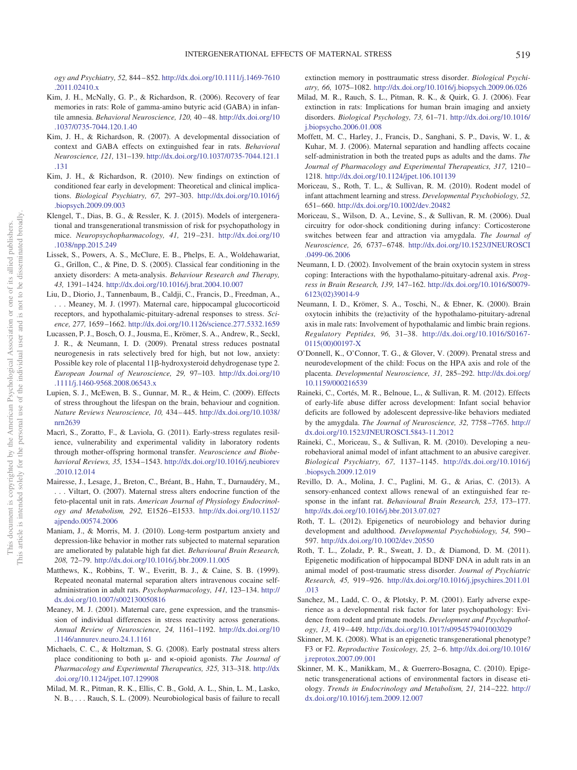*ogy and Psychiatry, 52,* 844 – 852. [http://dx.doi.org/10.1111/j.1469-7610](http://dx.doi.org/10.1111/j.1469-7610.2011.02410.x) [.2011.02410.x](http://dx.doi.org/10.1111/j.1469-7610.2011.02410.x)

- <span id="page-8-5"></span>Kim, J. H., McNally, G. P., & Richardson, R. (2006). Recovery of fear memories in rats: Role of gamma-amino butyric acid (GABA) in infantile amnesia. *Behavioral Neuroscience, 120,* 40 – 48. [http://dx.doi.org/10](http://dx.doi.org/10.1037/0735-7044.120.1.40) [.1037/0735-7044.120.1.40](http://dx.doi.org/10.1037/0735-7044.120.1.40)
- <span id="page-8-6"></span>Kim, J. H., & Richardson, R. (2007). A developmental dissociation of context and GABA effects on extinguished fear in rats. *Behavioral Neuroscience, 121,* 131–139. [http://dx.doi.org/10.1037/0735-7044.121.1](http://dx.doi.org/10.1037/0735-7044.121.1.131) [.131](http://dx.doi.org/10.1037/0735-7044.121.1.131)
- <span id="page-8-7"></span>Kim, J. H., & Richardson, R. (2010). New findings on extinction of conditioned fear early in development: Theoretical and clinical implications. *Biological Psychiatry, 67,* 297–303. [http://dx.doi.org/10.1016/j](http://dx.doi.org/10.1016/j.biopsych.2009.09.003) [.biopsych.2009.09.003](http://dx.doi.org/10.1016/j.biopsych.2009.09.003)
- <span id="page-8-25"></span>Klengel, T., Dias, B. G., & Ressler, K. J. (2015). Models of intergenerational and transgenerational transmission of risk for psychopathology in mice. *Neuropsychopharmacology, 41,* 219 –231. [http://dx.doi.org/10](http://dx.doi.org/10.1038/npp.2015.249) [.1038/npp.2015.249](http://dx.doi.org/10.1038/npp.2015.249)
- <span id="page-8-10"></span>Lissek, S., Powers, A. S., McClure, E. B., Phelps, E. A., Woldehawariat, G., Grillon, C., & Pine, D. S. (2005). Classical fear conditioning in the anxiety disorders: A meta-analysis. *Behaviour Research and Therapy, 43,* 1391–1424. <http://dx.doi.org/10.1016/j.brat.2004.10.007>
- <span id="page-8-27"></span>Liu, D., Diorio, J., Tannenbaum, B., Caldji, C., Francis, D., Freedman, A., . . . Meaney, M. J. (1997). Maternal care, hippocampal glucocorticoid receptors, and hypothalamic-pituitary-adrenal responses to stress. *Science, 277,* 1659 –1662. <http://dx.doi.org/10.1126/science.277.5332.1659>
- <span id="page-8-16"></span>Lucassen, P. J., Bosch, O. J., Jousma, E., Krömer, S. A., Andrew, R., Seckl, J. R., & Neumann, I. D. (2009). Prenatal stress reduces postnatal neurogenesis in rats selectively bred for high, but not low, anxiety: Possible key role of placental 11 $\beta$ -hydroxysteroid dehydrogenase type 2. *European Journal of Neuroscience, 29,* 97–103. [http://dx.doi.org/10](http://dx.doi.org/10.1111/j.1460-9568.2008.06543.x) [.1111/j.1460-9568.2008.06543.x](http://dx.doi.org/10.1111/j.1460-9568.2008.06543.x)
- <span id="page-8-0"></span>Lupien, S. J., McEwen, B. S., Gunnar, M. R., & Heim, C. (2009). Effects of stress throughout the lifespan on the brain, behaviour and cognition. *Nature Reviews Neuroscience, 10,* 434 – 445. [http://dx.doi.org/10.1038/](http://dx.doi.org/10.1038/nrn2639) [nrn2639](http://dx.doi.org/10.1038/nrn2639)
- <span id="page-8-18"></span>Macrì, S., Zoratto, F., & Laviola, G. (2011). Early-stress regulates resilience, vulnerability and experimental validity in laboratory rodents through mother-offspring hormonal transfer. *Neuroscience and Biobehavioral Reviews, 35,* 1534 –1543. [http://dx.doi.org/10.1016/j.neubiorev](http://dx.doi.org/10.1016/j.neubiorev.2010.12.014) [.2010.12.014](http://dx.doi.org/10.1016/j.neubiorev.2010.12.014)
- <span id="page-8-17"></span>Mairesse, J., Lesage, J., Breton, C., Bréant, B., Hahn, T., Darnaudéry, M., . . . Viltart, O. (2007). Maternal stress alters endocrine function of the feto-placental unit in rats. *American Journal of Physiology Endocrinology and Metabolism, 292,* E1526 –E1533. [http://dx.doi.org/10.1152/](http://dx.doi.org/10.1152/ajpendo.00574.2006) [ajpendo.00574.2006](http://dx.doi.org/10.1152/ajpendo.00574.2006)
- <span id="page-8-13"></span>Maniam, J., & Morris, M. J. (2010). Long-term postpartum anxiety and depression-like behavior in mother rats subjected to maternal separation are ameliorated by palatable high fat diet. *Behavioural Brain Research, 208,* 72–79. <http://dx.doi.org/10.1016/j.bbr.2009.11.005>
- <span id="page-8-2"></span>Matthews, K., Robbins, T. W., Everitt, B. J., & Caine, S. B. (1999). Repeated neonatal maternal separation alters intravenous cocaine selfadministration in adult rats. *Psychopharmacology, 141,* 123–134. [http://](http://dx.doi.org/10.1007/s002130050816) [dx.doi.org/10.1007/s002130050816](http://dx.doi.org/10.1007/s002130050816)
- <span id="page-8-26"></span>Meaney, M. J. (2001). Maternal care, gene expression, and the transmission of individual differences in stress reactivity across generations. *Annual Review of Neuroscience, 24,* 1161–1192. [http://dx.doi.org/10](http://dx.doi.org/10.1146/annurev.neuro.24.1.1161) [.1146/annurev.neuro.24.1.1161](http://dx.doi.org/10.1146/annurev.neuro.24.1.1161)
- <span id="page-8-3"></span>Michaels, C. C., & Holtzman, S. G. (2008). Early postnatal stress alters place conditioning to both  $\mu$ - and  $\kappa$ -opioid agonists. *The Journal of Pharmacology and Experimental Therapeutics, 325,* 313–318. [http://dx](http://dx.doi.org/10.1124/jpet.107.129908) [.doi.org/10.1124/jpet.107.129908](http://dx.doi.org/10.1124/jpet.107.129908)
- <span id="page-8-11"></span>Milad, M. R., Pitman, R. K., Ellis, C. B., Gold, A. L., Shin, L. M., Lasko, N. B., . . . Rauch, S. L. (2009). Neurobiological basis of failure to recall

extinction memory in posttraumatic stress disorder. *Biological Psychiatry, 66,* 1075–1082. <http://dx.doi.org/10.1016/j.biopsych.2009.06.026>

- <span id="page-8-12"></span>Milad, M. R., Rauch, S. L., Pitman, R. K., & Quirk, G. J. (2006). Fear extinction in rats: Implications for human brain imaging and anxiety disorders. *Biological Psychology, 73,* 61–71. [http://dx.doi.org/10.1016/](http://dx.doi.org/10.1016/j.biopsycho.2006.01.008) [j.biopsycho.2006.01.008](http://dx.doi.org/10.1016/j.biopsycho.2006.01.008)
- <span id="page-8-4"></span>Moffett, M. C., Harley, J., Francis, D., Sanghani, S. P., Davis, W. I., & Kuhar, M. J. (2006). Maternal separation and handling affects cocaine self-administration in both the treated pups as adults and the dams. *The Journal of Pharmacology and Experimental Therapeutics, 317,* 1210 – 1218. <http://dx.doi.org/10.1124/jpet.106.101139>
- <span id="page-8-19"></span>Moriceau, S., Roth, T. L., & Sullivan, R. M. (2010). Rodent model of infant attachment learning and stress. *Developmental Psychobiology, 52,* 651– 660. <http://dx.doi.org/10.1002/dev.20482>
- <span id="page-8-20"></span>Moriceau, S., Wilson, D. A., Levine, S., & Sullivan, R. M. (2006). Dual circuitry for odor-shock conditioning during infancy: Corticosterone switches between fear and attraction via amygdala. *The Journal of Neuroscience, 26,* 6737– 6748. [http://dx.doi.org/10.1523/JNEUROSCI](http://dx.doi.org/10.1523/JNEUROSCI.0499-06.2006) [.0499-06.2006](http://dx.doi.org/10.1523/JNEUROSCI.0499-06.2006)
- <span id="page-8-21"></span>Neumann, I. D. (2002). Involvement of the brain oxytocin system in stress coping: Interactions with the hypothalamo-pituitary-adrenal axis. *Progress in Brain Research, 139,* 147–162. [http://dx.doi.org/10.1016/S0079-](http://dx.doi.org/10.1016/S0079-6123%2802%2939014-9) [6123\(02\)39014-9](http://dx.doi.org/10.1016/S0079-6123%2802%2939014-9)
- <span id="page-8-22"></span>Neumann, I. D., Krömer, S. A., Toschi, N., & Ebner, K. (2000). Brain oxytocin inhibits the (re)activity of the hypothalamo-pituitary-adrenal axis in male rats: Involvement of hypothalamic and limbic brain regions. *Regulatory Peptides, 96,* 31–38. [http://dx.doi.org/10.1016/S0167-](http://dx.doi.org/10.1016/S0167-0115%2800%2900197-X) [0115\(00\)00197-X](http://dx.doi.org/10.1016/S0167-0115%2800%2900197-X)
- <span id="page-8-15"></span>O'Donnell, K., O'Connor, T. G., & Glover, V. (2009). Prenatal stress and neurodevelopment of the child: Focus on the HPA axis and role of the placenta. *Developmental Neuroscience, 31,* 285–292. [http://dx.doi.org/](http://dx.doi.org/10.1159/000216539) [10.1159/000216539](http://dx.doi.org/10.1159/000216539)
- <span id="page-8-28"></span>Raineki, C., Cortés, M. R., Belnoue, L., & Sullivan, R. M. (2012). Effects of early-life abuse differ across development: Infant social behavior deficits are followed by adolescent depressive-like behaviors mediated by the amygdala. *The Journal of Neuroscience, 32,* 7758 –7765. [http://](http://dx.doi.org/10.1523/JNEUROSCI.5843-11.2012) [dx.doi.org/10.1523/JNEUROSCI.5843-11.2012](http://dx.doi.org/10.1523/JNEUROSCI.5843-11.2012)
- <span id="page-8-29"></span>Raineki, C., Moriceau, S., & Sullivan, R. M. (2010). Developing a neurobehavioral animal model of infant attachment to an abusive caregiver. *Biological Psychiatry, 67,* 1137–1145. [http://dx.doi.org/10.1016/j](http://dx.doi.org/10.1016/j.biopsych.2009.12.019) [.biopsych.2009.12.019](http://dx.doi.org/10.1016/j.biopsych.2009.12.019)
- <span id="page-8-14"></span>Revillo, D. A., Molina, J. C., Paglini, M. G., & Arias, C. (2013). A sensory-enhanced context allows renewal of an extinguished fear response in the infant rat. *Behavioural Brain Research, 253,* 173–177. <http://dx.doi.org/10.1016/j.bbr.2013.07.027>
- <span id="page-8-23"></span>Roth, T. L. (2012). Epigenetics of neurobiology and behavior during development and adulthood. *Developmental Psychobiology, 54,* 590 – 597. <http://dx.doi.org/10.1002/dev.20550>
- <span id="page-8-24"></span>Roth, T. L., Zoladz, P. R., Sweatt, J. D., & Diamond, D. M. (2011). Epigenetic modification of hippocampal BDNF DNA in adult rats in an animal model of post-traumatic stress disorder. *Journal of Psychiatric Research, 45,* 919 –926. [http://dx.doi.org/10.1016/j.jpsychires.2011.01](http://dx.doi.org/10.1016/j.jpsychires.2011.01.013) [.013](http://dx.doi.org/10.1016/j.jpsychires.2011.01.013)
- <span id="page-8-1"></span>Sanchez, M., Ladd, C. O., & Plotsky, P. M. (2001). Early adverse experience as a developmental risk factor for later psychopathology: Evidence from rodent and primate models. *Development and Psychopathology, 13,* 419 – 449. <http://dx.doi.org/10.1017/s0954579401003029>
- <span id="page-8-8"></span>Skinner, M. K. (2008). What is an epigenetic transgenerational phenotype? F3 or F2. *Reproductive Toxicology, 25,* 2– 6. [http://dx.doi.org/10.1016/](http://dx.doi.org/10.1016/j.reprotox.2007.09.001) [j.reprotox.2007.09.001](http://dx.doi.org/10.1016/j.reprotox.2007.09.001)
- <span id="page-8-9"></span>Skinner, M. K., Manikkam, M., & Guerrero-Bosagna, C. (2010). Epigenetic transgenerational actions of environmental factors in disease etiology. *Trends in Endocrinology and Metabolism, 21,* 214 –222. [http://](http://dx.doi.org/10.1016/j.tem.2009.12.007) [dx.doi.org/10.1016/j.tem.2009.12.007](http://dx.doi.org/10.1016/j.tem.2009.12.007)